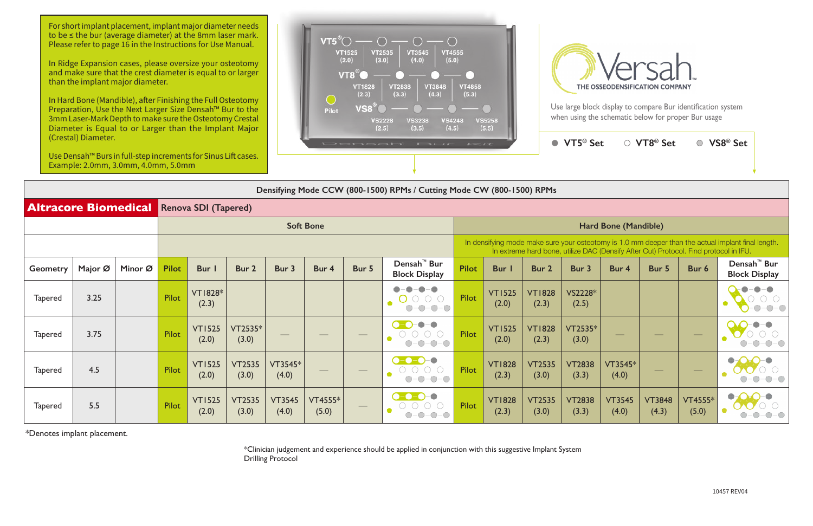Use large block display to compare Bur identification system when using the schematic below for proper Bur usage

| <i>(Cicstal) Diallictel.</i><br>Use Densah <sup>™</sup> Burs in full-step increments for Sinus Lift cases.<br>Example: 2.0mm, 3.0mm, 4.0mm, 5.0mm |                  |         |              |                         |                        |                        |                  |       | DONOGHY BUF KIL                                                             |              |                                                                                                                                                                                             |                        | $\bullet$ VT5 <sup>®</sup> Set |                        | ○ VT8 <sup>®</sup> Set                      | $\bigcirc$       | VS8 <sup>®</sup> Set                            |  |  |
|---------------------------------------------------------------------------------------------------------------------------------------------------|------------------|---------|--------------|-------------------------|------------------------|------------------------|------------------|-------|-----------------------------------------------------------------------------|--------------|---------------------------------------------------------------------------------------------------------------------------------------------------------------------------------------------|------------------------|--------------------------------|------------------------|---------------------------------------------|------------------|-------------------------------------------------|--|--|
| Densifying Mode CCW (800-1500) RPMs / Cutting Mode CW (800-1500) RPMs                                                                             |                  |         |              |                         |                        |                        |                  |       |                                                                             |              |                                                                                                                                                                                             |                        |                                |                        |                                             |                  |                                                 |  |  |
| <b>Altracore Biomedical</b><br><b>Renova SDI (Tapered)</b>                                                                                        |                  |         |              |                         |                        |                        |                  |       |                                                                             |              |                                                                                                                                                                                             |                        |                                |                        |                                             |                  |                                                 |  |  |
|                                                                                                                                                   | <b>Soft Bone</b> |         |              |                         |                        |                        |                  |       | <b>Hard Bone (Mandible)</b>                                                 |              |                                                                                                                                                                                             |                        |                                |                        |                                             |                  |                                                 |  |  |
|                                                                                                                                                   |                  |         |              |                         |                        |                        |                  |       |                                                                             |              | In densifying mode make sure your osteotomy is 1.0 mm deeper than the actual implant final length.<br>In extreme hard bone, utilize DAC (Densify After Cut) Protocol. Find protocol in IFU. |                        |                                |                        |                                             |                  |                                                 |  |  |
| <b>Geometry</b>                                                                                                                                   | Major Ø          | Minor Ø | <b>Pilot</b> | <b>Bur</b>              | Bur 2                  | Bur 3                  | Bur 4            | Bur 5 | Densah <sup>™</sup> Bur<br><b>Block Display</b>                             | <b>Pilot</b> | Bur                                                                                                                                                                                         | Bur 2                  | Bur 3                          | Bur 4                  | Bur 5                                       | Bur 6            | Densah <sup>™</sup> Bur<br><b>Block Display</b> |  |  |
| <b>Tapered</b>                                                                                                                                    | 3.25             |         | Pilot        | <b>VT1828*</b><br>(2.3) |                        |                        |                  |       | $O-O-O$<br>$-0-0-0$<br>$(\ )$                                               | Pilot        | <b>VT1525</b><br>(2.0)                                                                                                                                                                      | <b>VT1828</b><br>(2.3) | VS2228*<br>(2.5)               |                        |                                             |                  |                                                 |  |  |
| <b>Tapered</b>                                                                                                                                    | 3.75             |         | <b>Pilot</b> | <b>VT1525</b><br>(2.0)  | VT2535*<br>(3.0)       |                        |                  |       | $\bigcirc$ - $\bigcirc$ -<br>$-\bullet-\bullet$<br>$O-O-O-O-O$<br>$O-O-O-O$ | <b>Pilot</b> | <b>VT1525</b><br>(2.0)                                                                                                                                                                      | <b>VT1828</b><br>(2.3) | VT2535*<br>(3.0)               |                        |                                             |                  |                                                 |  |  |
| <b>Tapered</b>                                                                                                                                    | 4.5              |         | Pilot        | <b>VT1525</b><br>(2.0)  | <b>VT2535</b><br>(3.0) | VT3545*<br>(4.0)       |                  |       | $\bullet$ -0-0-0<br>$O-O-O-O-O$<br>$O-O-O-O$                                | Pilot        | <b>VT1828</b><br>(2.3)                                                                                                                                                                      | <b>VT2535</b><br>(3.0) | <b>VT2838</b><br>(3.3)         | VT3545*<br>(4.0)       | $\hspace{1.0cm} \overbrace{\hspace{1.0cm}}$ |                  |                                                 |  |  |
| <b>Tapered</b>                                                                                                                                    | 5.5              |         | Pilot        | <b>VT1525</b><br>(2.0)  | <b>VT2535</b><br>(3.0) | <b>VT3545</b><br>(4.0) | VT4555*<br>(5.0) |       | $\bullet$ -0-0-0<br>$-O$ -O-O<br>$-0-0-0$<br>( )-                           | Pilot        | <b>VT1828</b><br>(2.3)                                                                                                                                                                      | <b>VT2535</b><br>(3.0) | <b>VT2838</b><br>(3.3)         | <b>VT3545</b><br>(4.0) | <b>VT3848</b><br>(4.3)                      | VT4555*<br>(5.0) |                                                 |  |  |

\*Denotes implant placement.

\*Clinician judgement and experience should be applied in conjunction with this suggestive Implant System Drilling Protocol

For short implant placement, implant major diameter needs to be ≤ the bur (average diameter) at the 8mm laser mark. Please refer to page 16 in the Instructions for Use Manual.

In Ridge Expansion cases, please oversize your osteotomy and make sure that the crest diameter is equal to or larger than the implant major diameter.

In Hard Bone (Mandible), after Finishing the Full Osteotomy Preparation, Use the Next Larger Size Densah™ Bur to the 3mm Laser-Mark Depth to make sure the Osteotomy Crestal Diameter is Equal to or Larger than the Implant Major (Crestal) Diameter.